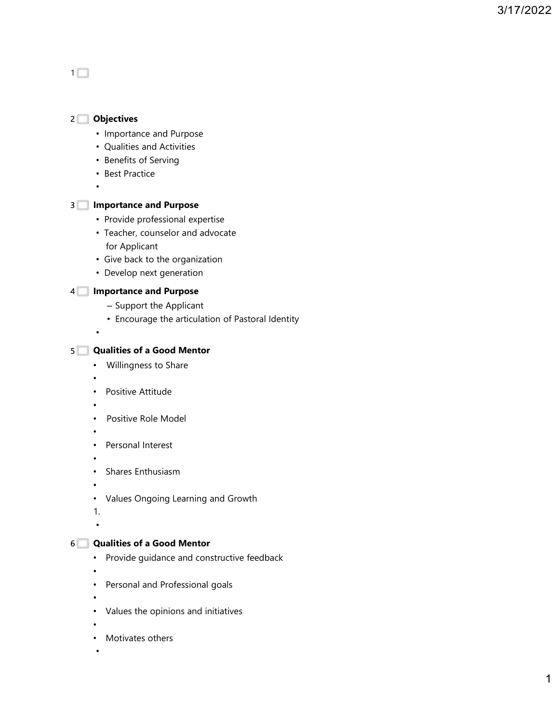

- •
- Motivates others

•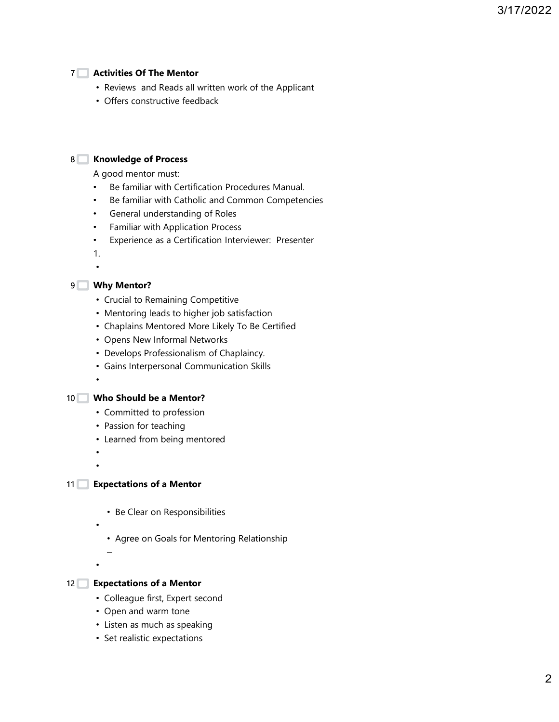# 7 Activities Of The Mentor

- Reviews and Reads all written work of the Applicant
- Offers constructive feedback

8 Solution Manuel Andrew Monetate Manuel Andrew Monetate Manuel Andrew Monetate M

A good mentor must:

- Be familiar with Certification Procedures Manual.
- Be familiar with Catholic and Common Competencies
- General understanding of Roles
- Familiar with Application Process
- Experience as a Certification Interviewer: Presenter

1.•

# 9 ■ Why Mentor? The control of the control of the control of the control of the control of the control of the control of the control of the control of the control of the control of the control of the control of the contro

- Crucial to Remaining Competitive
- Mentoring leads to higher job satisfaction
- Chaplains Mentored More Likely To Be Certified
- Opens New Informal Networks
- Develops Professionalism of Chaplaincy.
- Gains Interpersonal Communication Skills

10 Who Should be a Mentor?

- Committed to profession
- Passion for teaching
- Learned from being mentored

• •

•

•

- 11 Expectations of a Mentor
	- Be Clear on Responsibilities

•

• Agree on Goals for Mentoring Relationship

– Andrea Stean Andrea Stean Andrea Stean Andrea Stean Andrea Stean Andrea Stean Andrea Stean Andrea Stean Andr

## 12 Expectations of a Mentor

- Colleague first, Expert second
- Open and warm tone
- Listen as much as speaking
- Set realistic expectations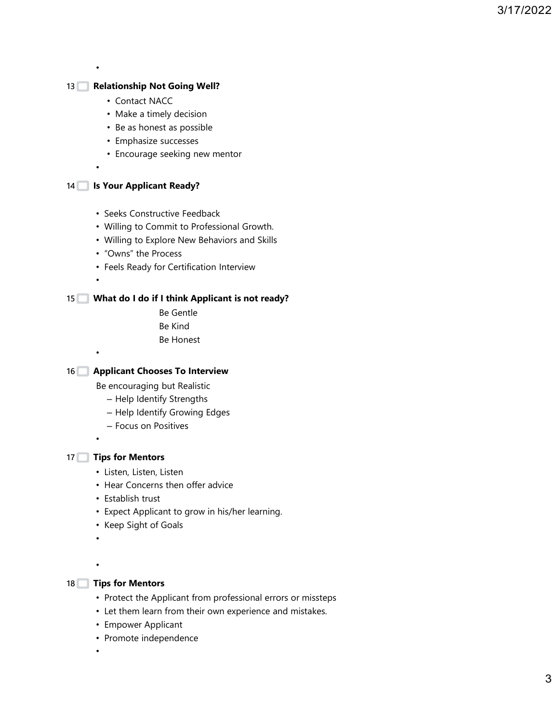•

## 13 Relationship Not Going Well?

- Contact NACC
- Make a timely decision
- Be as honest as possible
- Emphasize successes
- Encourage seeking new mentor

•

## 14 September 14 September 14 September 2014 14 September 2014 12:31 and 14 September 2014 12:31 and 14:41 September 2014 12:31

- Seeks Constructive Feedback
- Willing to Commit to Professional Growth.
- Willing to Explore New Behaviors and Skills
- "Owns" the Process
- Feels Ready for Certification Interview

•

•

#### What do I do if I think Applicant is not ready? 15

Be Gentle Be Kind Be Honest

## 16  $\Box$  Applicant Chooses To Interview

Be encouraging but Realistic

- Help Identify Strengths
- Help Identify Growing Edges
- Focus on Positives

•

#### 17 **Tips for Mentors**

- Listen, Listen, Listen
- Hear Concerns then offer advice
- Establish trust
- Expect Applicant to grow in his/her learning.
- Keep Sight of Goals

•

•

#### 18 **Tips for Mentors The Structure of Structure 18**

- Protect the Applicant from professional errors or missteps
- Let them learn from their own experience and mistakes.
- Empower Applicant
- Promote independence

•